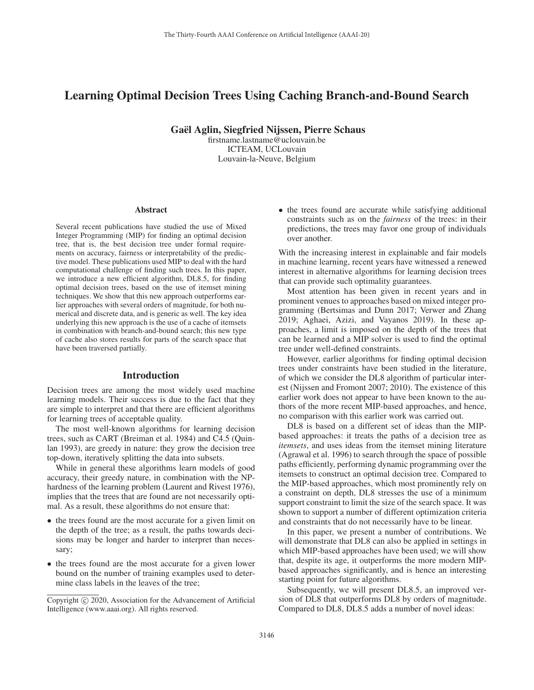# Learning Optimal Decision Trees Using Caching Branch-and-Bound Search

Gael Aglin, Siegfried Nijssen, Pierre Schaus ¨

firstname.lastname@uclouvain.be ICTEAM, UCLouvain Louvain-la-Neuve, Belgium

#### Abstract

Several recent publications have studied the use of Mixed Integer Programming (MIP) for finding an optimal decision tree, that is, the best decision tree under formal requirements on accuracy, fairness or interpretability of the predictive model. These publications used MIP to deal with the hard computational challenge of finding such trees. In this paper, we introduce a new efficient algorithm, DL8.5, for finding optimal decision trees, based on the use of itemset mining techniques. We show that this new approach outperforms earlier approaches with several orders of magnitude, for both numerical and discrete data, and is generic as well. The key idea underlying this new approach is the use of a cache of itemsets in combination with branch-and-bound search; this new type of cache also stores results for parts of the search space that have been traversed partially.

#### Introduction

Decision trees are among the most widely used machine learning models. Their success is due to the fact that they are simple to interpret and that there are efficient algorithms for learning trees of acceptable quality.

The most well-known algorithms for learning decision trees, such as CART (Breiman et al. 1984) and C4.5 (Quinlan 1993), are greedy in nature: they grow the decision tree top-down, iteratively splitting the data into subsets.

While in general these algorithms learn models of good accuracy, their greedy nature, in combination with the NPhardness of the learning problem (Laurent and Rivest 1976), implies that the trees that are found are not necessarily optimal. As a result, these algorithms do not ensure that:

- the trees found are the most accurate for a given limit on the depth of the tree; as a result, the paths towards decisions may be longer and harder to interpret than necessary;
- the trees found are the most accurate for a given lower bound on the number of training examples used to determine class labels in the leaves of the tree;

• the trees found are accurate while satisfying additional constraints such as on the *fairness* of the trees: in their predictions, the trees may favor one group of individuals over another.

With the increasing interest in explainable and fair models in machine learning, recent years have witnessed a renewed interest in alternative algorithms for learning decision trees that can provide such optimality guarantees.

Most attention has been given in recent years and in prominent venues to approaches based on mixed integer programming (Bertsimas and Dunn 2017; Verwer and Zhang 2019; Aghaei, Azizi, and Vayanos 2019). In these approaches, a limit is imposed on the depth of the trees that can be learned and a MIP solver is used to find the optimal tree under well-defined constraints.

However, earlier algorithms for finding optimal decision trees under constraints have been studied in the literature, of which we consider the DL8 algorithm of particular interest (Nijssen and Fromont 2007; 2010). The existence of this earlier work does not appear to have been known to the authors of the more recent MIP-based approaches, and hence, no comparison with this earlier work was carried out.

DL8 is based on a different set of ideas than the MIPbased approaches: it treats the paths of a decision tree as *itemsets*, and uses ideas from the itemset mining literature (Agrawal et al. 1996) to search through the space of possible paths efficiently, performing dynamic programming over the itemsets to construct an optimal decision tree. Compared to the MIP-based approaches, which most prominently rely on a constraint on depth, DL8 stresses the use of a minimum support constraint to limit the size of the search space. It was shown to support a number of different optimization criteria and constraints that do not necessarily have to be linear.

In this paper, we present a number of contributions. We will demonstrate that DL8 can also be applied in settings in which MIP-based approaches have been used; we will show that, despite its age, it outperforms the more modern MIPbased approaches significantly, and is hence an interesting starting point for future algorithms.

Subsequently, we will present DL8.5, an improved version of DL8 that outperforms DL8 by orders of magnitude. Compared to DL8, DL8.5 adds a number of novel ideas:

Copyright  $\odot$  2020, Association for the Advancement of Artificial Intelligence (www.aaai.org). All rights reserved.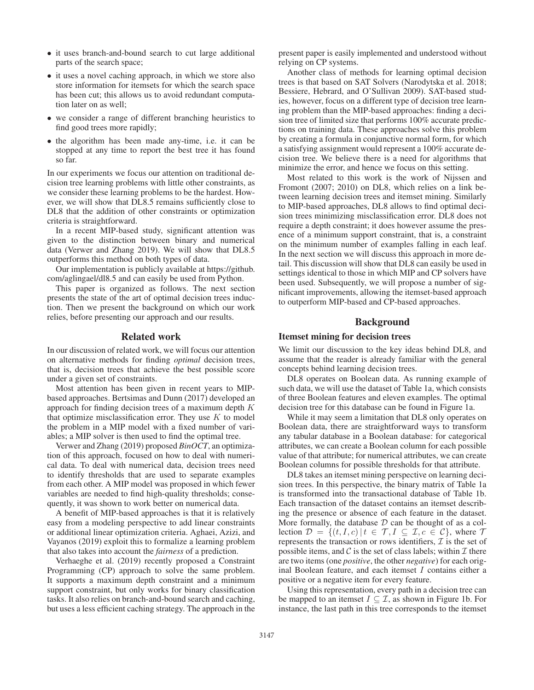- it uses branch-and-bound search to cut large additional parts of the search space;
- it uses a novel caching approach, in which we store also store information for itemsets for which the search space has been cut; this allows us to avoid redundant computation later on as well;
- we consider a range of different branching heuristics to find good trees more rapidly;
- the algorithm has been made any-time, i.e. it can be stopped at any time to report the best tree it has found so far.

In our experiments we focus our attention on traditional decision tree learning problems with little other constraints, as we consider these learning problems to be the hardest. However, we will show that DL8.5 remains sufficiently close to DL8 that the addition of other constraints or optimization criteria is straightforward.

In a recent MIP-based study, significant attention was given to the distinction between binary and numerical data (Verwer and Zhang 2019). We will show that DL8.5 outperforms this method on both types of data.

Our implementation is publicly available at https://github. com/aglingael/dl8.5 and can easily be used from Python.

This paper is organized as follows. The next section presents the state of the art of optimal decision trees induction. Then we present the background on which our work relies, before presenting our approach and our results.

# Related work

In our discussion of related work, we will focus our attention on alternative methods for finding *optimal* decision trees, that is, decision trees that achieve the best possible score under a given set of constraints.

Most attention has been given in recent years to MIPbased approaches. Bertsimas and Dunn (2017) developed an approach for finding decision trees of a maximum depth K that optimize misclassification error. They use  $K$  to model the problem in a MIP model with a fixed number of variables; a MIP solver is then used to find the optimal tree.

Verwer and Zhang (2019) proposed *BinOCT*, an optimization of this approach, focused on how to deal with numerical data. To deal with numerical data, decision trees need to identify thresholds that are used to separate examples from each other. A MIP model was proposed in which fewer variables are needed to find high-quality thresholds; consequently, it was shown to work better on numerical data.

A benefit of MIP-based approaches is that it is relatively easy from a modeling perspective to add linear constraints or additional linear optimization criteria. Aghaei, Azizi, and Vayanos (2019) exploit this to formalize a learning problem that also takes into account the *fairness* of a prediction.

Verhaeghe et al. (2019) recently proposed a Constraint Programming (CP) approach to solve the same problem. It supports a maximum depth constraint and a minimum support constraint, but only works for binary classification tasks. It also relies on branch-and-bound search and caching, but uses a less efficient caching strategy. The approach in the present paper is easily implemented and understood without relying on CP systems.

Another class of methods for learning optimal decision trees is that based on SAT Solvers (Narodytska et al. 2018; Bessiere, Hebrard, and O'Sullivan 2009). SAT-based studies, however, focus on a different type of decision tree learning problem than the MIP-based approaches: finding a decision tree of limited size that performs 100% accurate predictions on training data. These approaches solve this problem by creating a formula in conjunctive normal form, for which a satisfying assignment would represent a 100% accurate decision tree. We believe there is a need for algorithms that minimize the error, and hence we focus on this setting.

Most related to this work is the work of Nijssen and Fromont (2007; 2010) on DL8, which relies on a link between learning decision trees and itemset mining. Similarly to MIP-based approaches, DL8 allows to find optimal decision trees minimizing misclassification error. DL8 does not require a depth constraint; it does however assume the presence of a minimum support constraint, that is, a constraint on the minimum number of examples falling in each leaf. In the next section we will discuss this approach in more detail. This discussion will show that DL8 can easily be used in settings identical to those in which MIP and CP solvers have been used. Subsequently, we will propose a number of significant improvements, allowing the itemset-based approach to outperform MIP-based and CP-based approaches.

### Background

#### Itemset mining for decision trees

We limit our discussion to the key ideas behind DL8, and assume that the reader is already familiar with the general concepts behind learning decision trees.

DL8 operates on Boolean data. As running example of such data, we will use the dataset of Table 1a, which consists of three Boolean features and eleven examples. The optimal decision tree for this database can be found in Figure 1a.

While it may seem a limitation that DL8 only operates on Boolean data, there are straightforward ways to transform any tabular database in a Boolean database: for categorical attributes, we can create a Boolean column for each possible value of that attribute; for numerical attributes, we can create Boolean columns for possible thresholds for that attribute.

DL8 takes an itemset mining perspective on learning decision trees. In this perspective, the binary matrix of Table 1a is transformed into the transactional database of Table 1b. Each transaction of the dataset contains an itemset describing the presence or absence of each feature in the dataset. More formally, the database  $D$  can be thought of as a collection  $\mathcal{D} = \{(t, I, c) | t \in \mathcal{T}, I \subseteq \mathcal{I}, c \in \mathcal{C}\}\)$ , where  $\mathcal{T}$ represents the transaction or rows identifiers,  $\mathcal I$  is the set of possible items, and  $\mathcal C$  is the set of class labels; within  $\mathcal I$  there are two items (one *positive*, the other *negative*) for each original Boolean feature, and each itemset I contains either a positive or a negative item for every feature.

Using this representation, every path in a decision tree can be mapped to an itemset  $I \subseteq \mathcal{I}$ , as shown in Figure 1b. For instance, the last path in this tree corresponds to the itemset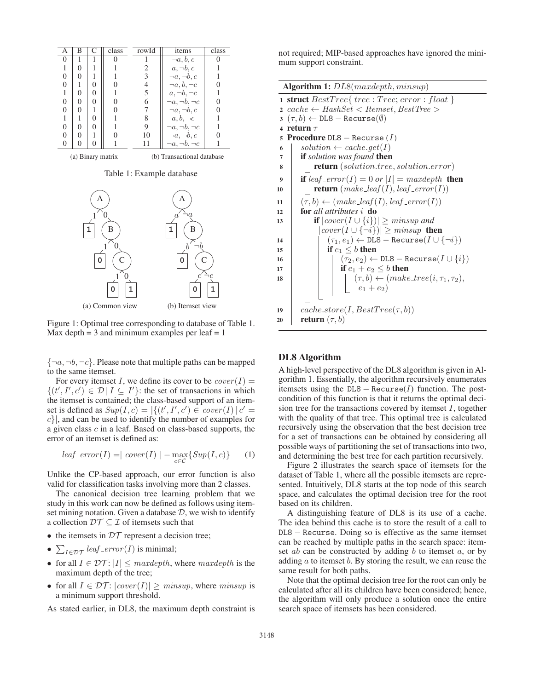

Figure 1: Optimal tree corresponding to database of Table 1. Max depth  $= 3$  and minimum examples per leaf  $= 1$ 

 $\{\neg a, \neg b, \neg c\}$ . Please note that multiple paths can be mapped to the same itemset.

For every itemset I, we define its cover to be  $cover(I) =$  $\{(t', I', c') \in \mathcal{D} | I \subseteq I'\}$ : the set of transactions in which the itemset is contained; the class-based support of an itemset is defined as  $Sup(I, c) = |\{(t', I', c') \in cover(I) | c' =$ c}|, and can be used to identify the number of examples for a given class c in a leaf. Based on class-based supports, the error of an itemset is defined as:

$$
leaf\_error(I) = |\ cover(I)| - \max_{c \in \mathcal{C}} \{ Sup(I, c)\} \tag{1}
$$

Unlike the CP-based approach, our error function is also valid for classification tasks involving more than 2 classes.

The canonical decision tree learning problem that we study in this work can now be defined as follows using itemset mining notation. Given a database  $D$ , we wish to identify a collection  $\mathcal{D}\mathcal{T} \subseteq \mathcal{I}$  of itemsets such that

- the itemsets in  $DT$  represent a decision tree;
- $\sum_{I \in \mathcal{DT}} \text{leaf\_error}(I)$  is minimal;
- for all  $I \in \mathcal{DT}$ :  $|I| \leq$  *maxdepth*, where *maxdepth* is the maximum depth of the tree;
- for all  $I \in \mathcal{DT}$ :  $|cover(I)| > minsup$ , where *minsup* is a minimum support threshold.

As stated earlier, in DL8, the maximum depth constraint is

not required; MIP-based approaches have ignored the minimum support constraint.

| Algorithm 1: DL8(maxdepth, minsup)                                                    |  |
|---------------------------------------------------------------------------------------|--|
| 1 struct $BestTree{$ $tree: Tree; error: float}$                                      |  |
| $cache \leftarrow HashSet < Itemset, BestTree >$<br>$\overline{2}$                    |  |
| $3(\tau, b) \leftarrow \texttt{DL8} - \texttt{Recursive}(\emptyset)$                  |  |
| return $\tau$<br>$\overline{\mathbf{4}}$                                              |  |
| <b>Procedure</b> $DL8 - Recurse (1)$<br>5                                             |  |
| $solution \leftarrow cache.get(I)$<br>6                                               |  |
| <b>if</b> solution was found <b>then</b><br>7                                         |  |
| <b>return</b> (solution.tree, solution.error)<br>8                                    |  |
| if leaf _error(I) = 0 or $ I  = maxdepth$ then<br>9                                   |  |
| <b>return</b> $(make\_leaf(I), leaf\_error(I))$<br>10                                 |  |
| $(\tau, b) \leftarrow (make\_leaf(I), leaf\_error(I))$<br>11                          |  |
| for all attributes i do<br>12                                                         |  |
| <b>if</b> $ cover(I \cup \{i\})  \geq minsup$ and<br>13                               |  |
| $ cover(I \cup \{\neg i\})  \geq minsup$ then                                         |  |
| $(\tau_1, e_1) \leftarrow \texttt{DL8} - \texttt{Recursive}(I \cup \{\neg i\})$<br>14 |  |
| if $e_1 \leq b$ then<br>15                                                            |  |
| $(\tau_2,e_2) \leftarrow \texttt{DL8}-\texttt{Recursive}(I \cup \{i\})$<br>16         |  |
| if $e_1 + e_2 \leq b$ then<br>17                                                      |  |
| $(\tau, b) \leftarrow (make\_tree(i, \tau_1, \tau_2),$<br>18                          |  |
| $\left  e_1 + e_2 \right $                                                            |  |
|                                                                                       |  |
| $cache.store(I, BestTree(\tau, b))$<br>19                                             |  |
| <b>return</b> $(\tau, b)$<br>20                                                       |  |

# DL8 Algorithm

A high-level perspective of the DL8 algorithm is given in Algorithm 1. Essentially, the algorithm recursively enumerates itemsets using the  $DL8 - Recurse(I)$  function. The postcondition of this function is that it returns the optimal decision tree for the transactions covered by itemset  $I$ , together with the quality of that tree. This optimal tree is calculated recursively using the observation that the best decision tree for a set of transactions can be obtained by considering all possible ways of partitioning the set of transactions into two, and determining the best tree for each partition recursively.

Figure 2 illustrates the search space of itemsets for the dataset of Table 1, where all the possible itemsets are represented. Intuitively, DL8 starts at the top node of this search space, and calculates the optimal decision tree for the root based on its children.

A distinguishing feature of DL8 is its use of a cache. The idea behind this cache is to store the result of a call to DL8 − Recurse. Doing so is effective as the same itemset can be reached by multiple paths in the search space: itemset  $ab$  can be constructed by adding  $b$  to itemset  $a$ , or by adding  $a$  to itemset  $b$ . By storing the result, we can reuse the same result for both paths.

Note that the optimal decision tree for the root can only be calculated after all its children have been considered; hence, the algorithm will only produce a solution once the entire search space of itemsets has been considered.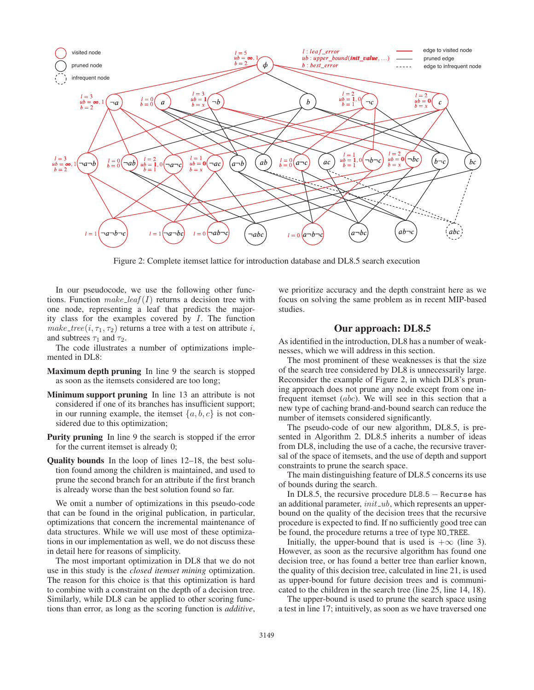

Figure 2: Complete itemset lattice for introduction database and DL8.5 search execution

In our pseudocode, we use the following other functions. Function *make leaf* (I) returns a decision tree with one node, representing a leaf that predicts the majority class for the examples covered by I. The function *make\_tree*( $i, \tau_1, \tau_2$ ) returns a tree with a test on attribute  $i$ , and subtrees  $\tau_1$  and  $\tau_2$ .

The code illustrates a number of optimizations implemented in DL8:

- Maximum depth pruning In line 9 the search is stopped as soon as the itemsets considered are too long;
- Minimum support pruning In line 13 an attribute is not considered if one of its branches has insufficient support; in our running example, the itemset  $\{a, b, c\}$  is not considered due to this optimization;
- Purity pruning In line 9 the search is stopped if the error for the current itemset is already 0;
- Quality bounds In the loop of lines 12–18, the best solution found among the children is maintained, and used to prune the second branch for an attribute if the first branch is already worse than the best solution found so far.

We omit a number of optimizations in this pseudo-code that can be found in the original publication, in particular, optimizations that concern the incremental maintenance of data structures. While we will use most of these optimizations in our implementation as well, we do not discuss these in detail here for reasons of simplicity.

The most important optimization in DL8 that we do not use in this study is the *closed itemset mining* optimization. The reason for this choice is that this optimization is hard to combine with a constraint on the depth of a decision tree. Similarly, while DL8 can be applied to other scoring functions than error, as long as the scoring function is *additive*,

we prioritize accuracy and the depth constraint here as we focus on solving the same problem as in recent MIP-based studies.

# Our approach: DL8.5

As identified in the introduction, DL8 has a number of weaknesses, which we will address in this section.

The most prominent of these weaknesses is that the size of the search tree considered by DL8 is unnecessarily large. Reconsider the example of Figure 2, in which DL8's pruning approach does not prune any node except from one infrequent itemset (abc). We will see in this section that a new type of caching brand-and-bound search can reduce the number of itemsets considered significantly.

The pseudo-code of our new algorithm, DL8.5, is presented in Algorithm 2. DL8.5 inherits a number of ideas from DL8, including the use of a cache, the recursive traversal of the space of itemsets, and the use of depth and support constraints to prune the search space.

The main distinguishing feature of DL8.5 concerns its use of bounds during the search.

In DL8.5, the recursive procedure DL8.5 − Recurse has an additional parameter, *init ub*, which represents an upperbound on the quality of the decision trees that the recursive procedure is expected to find. If no sufficiently good tree can be found, the procedure returns a tree of type NO TREE.

Initially, the upper-bound that is used is  $+\infty$  (line 3). However, as soon as the recursive algorithm has found one decision tree, or has found a better tree than earlier known, the quality of this decision tree, calculated in line 21, is used as upper-bound for future decision trees and is communicated to the children in the search tree (line 25, line 14, 18).

The upper-bound is used to prune the search space using a test in line 17; intuitively, as soon as we have traversed one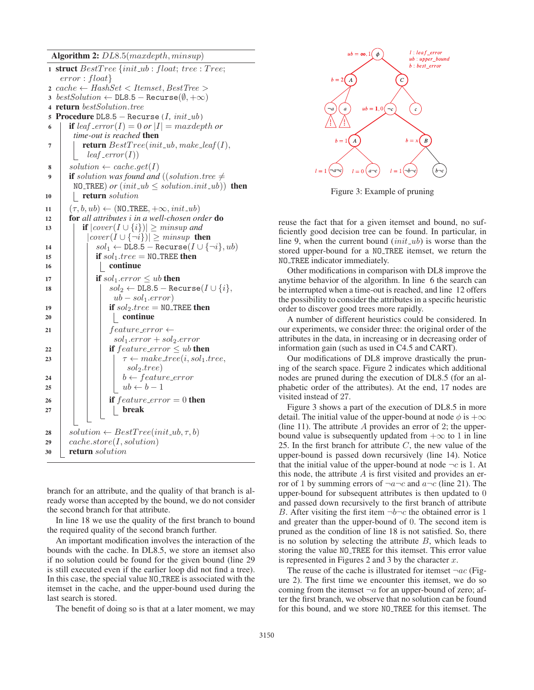Algorithm 2: DL8.5(maxdepth, minsup)

|                  | $1$ struct $BestTree$ { $init\_ub : float;$ $tree : Tree;$          |
|------------------|---------------------------------------------------------------------|
|                  | $error: float\}$                                                    |
|                  | $2\ \textrm{cache} \leftarrow$ HashSet < Itemset, BestTree >        |
|                  | 3 bestSolution $\leftarrow$ DL8.5 - Recurse( $\emptyset, +\infty$ ) |
|                  | 4 <b>return</b> bestSolution.tree                                   |
| 5.               | <b>Procedure</b> DL8.5 - Recurse $(I, init\_ub)$                    |
| 6                | <b>if</b> leaf _error(I) = 0 or $ I $ = maxdepth or                 |
|                  | time-out is reached <b>then</b>                                     |
| 7                | <b>return</b> $BestTree(int\_ub, make\_leaf(I),$                    |
|                  | $leaf\_error(I))$                                                   |
| 8                | $solution \leftarrow cache.get(I)$                                  |
| $\boldsymbol{Q}$ | <b>if</b> solution was found and ((solution.tree $\neq$             |
|                  | NO_TREE) or $(int\_ub \leq solution . init\_ub))$ then              |
| 10               | <b>return</b> solution                                              |
| 11               | $(\tau, b, ub) \leftarrow (NO\_TREE, +\infty, init_-ub)$            |
| 12               | for all attributes i in a well-chosen order do                      |
| 13               | <b>if</b> $ cover(I \cup \{i\})  \geq minsup$ and                   |
|                  | $ cover(I \cup \{\neg i\})  \geq minsup$ then                       |
| 14               | $sol_1 \leftarrow$ DL8.5 - Recurse( $I \cup \{\neg i\}, ub)$        |
| 15               | if $sol_1.tree = \text{NO\_TREE}$ then                              |
| 16               | continue                                                            |
| 17               | if $sol_1_error \leq ub$ then                                       |
| 18               | $sol_2 \leftarrow$ DL8.5 - Recurse( $I \cup \{i\},$                 |
|                  | $ub-sol_1_error)$                                                   |
| 19               | if $\textit{sol}_2.\textit{tree} = \texttt{NO\_TREE}$ then          |
| 20               | continue                                                            |
| 21               | $feature_error \leftarrow$                                          |
|                  | $sol_1_error + sol_2_error$                                         |
| 22               | if $feature_error \leq ub$ then                                     |
| 23               | $\tau \leftarrow make\_tree(i, sol_1.tree,$                         |
|                  | $sol_2.tree)$                                                       |
| 24               | $b \leftarrow feature\_error$                                       |
| 25               | $ub \leftarrow b - 1$                                               |
| 26               | if $feature_error = 0$ then                                         |
| 27               | <b>break</b>                                                        |
|                  |                                                                     |
| 28               | $solution \leftarrow BestTree(int\_ub, \tau, b)$                    |
| 29               | cache.store(I, solution)                                            |
| 30               | return solution                                                     |
|                  |                                                                     |

branch for an attribute, and the quality of that branch is already worse than accepted by the bound, we do not consider the second branch for that attribute.

In line 18 we use the quality of the first branch to bound the required quality of the second branch further.

An important modification involves the interaction of the bounds with the cache. In DL8.5, we store an itemset also if no solution could be found for the given bound (line 29 is still executed even if the earlier loop did not find a tree). In this case, the special value NO TREE is associated with the itemset in the cache, and the upper-bound used during the last search is stored.

The benefit of doing so is that at a later moment, we may



Figure 3: Example of pruning

reuse the fact that for a given itemset and bound, no sufficiently good decision tree can be found. In particular, in line 9, when the current bound (*init ub*) is worse than the stored upper-bound for a NO TREE itemset, we return the NO TREE indicator immediately.

Other modifications in comparison with DL8 improve the anytime behavior of the algorithm. In line 6 the search can be interrupted when a time-out is reached, and line 12 offers the possibility to consider the attributes in a specific heuristic order to discover good trees more rapidly.

A number of different heuristics could be considered. In our experiments, we consider three: the original order of the attributes in the data, in increasing or in decreasing order of information gain (such as used in C4.5 and CART).

Our modifications of DL8 improve drastically the pruning of the search space. Figure 2 indicates which additional nodes are pruned during the execution of DL8.5 (for an alphabetic order of the attributes). At the end, 17 nodes are visited instead of 27.

Figure 3 shows a part of the execution of DL8.5 in more detail. The initial value of the upper-bound at node  $\phi$  is  $+\infty$ (line 11). The attribute  $A$  provides an error of 2; the upperbound value is subsequently updated from  $+\infty$  to 1 in line 25. In the first branch for attribute  $C$ , the new value of the upper-bound is passed down recursively (line 14). Notice that the initial value of the upper-bound at node  $\neg c$  is 1. At this node, the attribute  $A$  is first visited and provides an error of 1 by summing errors of  $\neg a\neg c$  and  $a\neg c$  (line 21). The upper-bound for subsequent attributes is then updated to 0 and passed down recursively to the first branch of attribute B. After visiting the first item  $\neg b\neg c$  the obtained error is 1 and greater than the upper-bound of 0. The second item is pruned as the condition of line 18 is not satisfied. So, there is no solution by selecting the attribute  $B$ , which leads to storing the value NO TREE for this itemset. This error value is represented in Figures 2 and 3 by the character  $x$ .

The reuse of the cache is illustrated for itemset  $\neg ac$  (Figure 2). The first time we encounter this itemset, we do so coming from the itemset  $\neg a$  for an upper-bound of zero; after the first branch, we observe that no solution can be found for this bound, and we store NO TREE for this itemset. The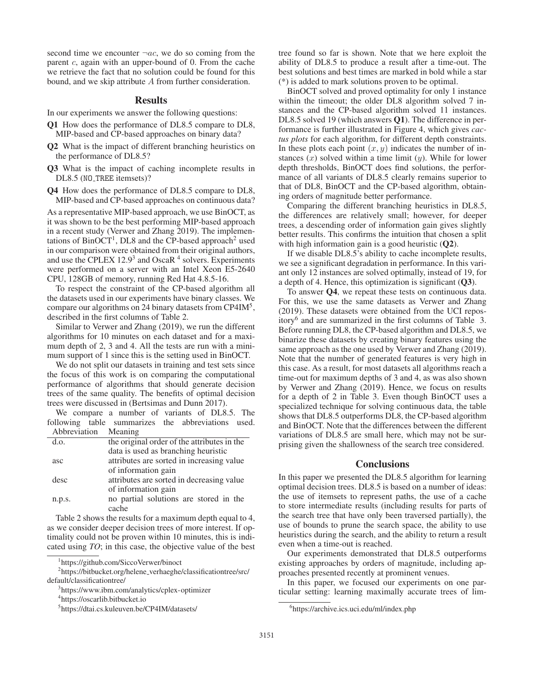second time we encounter  $\neg ac$ , we do so coming from the parent c, again with an upper-bound of 0. From the cache we retrieve the fact that no solution could be found for this bound, and we skip attribute A from further consideration.

# **Results**

In our experiments we answer the following questions:

- Q1 How does the performance of DL8.5 compare to DL8, MIP-based and CP-based approaches on binary data?
- Q2 What is the impact of different branching heuristics on the performance of DL8.5?
- Q3 What is the impact of caching incomplete results in DL8.5 (NO\_TREE itemsets)?
- Q4 How does the performance of DL8.5 compare to DL8, MIP-based and CP-based approaches on continuous data?

As a representative MIP-based approach, we use BinOCT, as it was shown to be the best performing MIP-based approach in a recent study (Verwer and Zhang 2019). The implementations of  $BinOCT<sup>1</sup>$ , DL8 and the CP-based approach<sup>2</sup> used in our comparison were obtained from their original authors, and use the CPLEX  $12.9<sup>3</sup>$  and OscaR<sup>4</sup> solvers. Experiments were performed on a server with an Intel Xeon E5-2640 CPU, 128GB of memory, running Red Hat 4.8.5-16.

To respect the constraint of the CP-based algorithm all the datasets used in our experiments have binary classes. We compare our algorithms on 24 binary datasets from CP4IM5, described in the first columns of Table 2.

Similar to Verwer and Zhang (2019), we run the different algorithms for 10 minutes on each dataset and for a maximum depth of 2, 3 and 4. All the tests are run with a minimum support of 1 since this is the setting used in BinOCT.

We do not split our datasets in training and test sets since the focus of this work is on comparing the computational performance of algorithms that should generate decision trees of the same quality. The benefits of optimal decision trees were discussed in (Bertsimas and Dunn 2017).

We compare a number of variants of DL8.5. The following table summarizes the abbreviations used. Abbreviation Meaning

| d.o.   | the original order of the attributes in the |
|--------|---------------------------------------------|
|        | data is used as branching heuristic         |
| asc    | attributes are sorted in increasing value   |
|        | of information gain                         |
| desc   | attributes are sorted in decreasing value   |
|        | of information gain                         |
| n.p.s. | no partial solutions are stored in the      |
|        | cache                                       |

Table 2 shows the results for a maximum depth equal to 4, as we consider deeper decision trees of more interest. If optimality could not be proven within 10 minutes, this is indicated using *TO*; in this case, the objective value of the best

tree found so far is shown. Note that we here exploit the ability of DL8.5 to produce a result after a time-out. The best solutions and best times are marked in bold while a star (\*) is added to mark solutions proven to be optimal.

BinOCT solved and proved optimality for only 1 instance within the timeout; the older DL8 algorithm solved 7 instances and the CP-based algorithm solved 11 instances. DL8.5 solved 19 (which answers Q1). The difference in performance is further illustrated in Figure 4, which gives *cactus plots* for each algorithm, for different depth constraints. In these plots each point  $(x, y)$  indicates the number of instances  $(x)$  solved within a time limit  $(y)$ . While for lower depth thresholds, BinOCT does find solutions, the performance of all variants of DL8.5 clearly remains superior to that of DL8, BinOCT and the CP-based algorithm, obtaining orders of magnitude better performance.

Comparing the different branching heuristics in DL8.5, the differences are relatively small; however, for deeper trees, a descending order of information gain gives slightly better results. This confirms the intuition that chosen a split with high information gain is a good heuristic  $(Q2)$ .

If we disable DL8.5's ability to cache incomplete results, we see a significant degradation in performance. In this variant only 12 instances are solved optimally, instead of 19, for a depth of 4. Hence, this optimization is significant  $(Q3)$ .

To answer Q4, we repeat these tests on continuous data. For this, we use the same datasets as Verwer and Zhang (2019). These datasets were obtained from the UCI repository6 and are summarized in the first columns of Table 3. Before running DL8, the CP-based algorithm and DL8.5, we binarize these datasets by creating binary features using the same approach as the one used by Verwer and Zhang (2019). Note that the number of generated features is very high in this case. As a result, for most datasets all algorithms reach a time-out for maximum depths of 3 and 4, as was also shown by Verwer and Zhang (2019). Hence, we focus on results for a depth of 2 in Table 3. Even though BinOCT uses a specialized technique for solving continuous data, the table shows that DL8.5 outperforms DL8, the CP-based algorithm and BinOCT. Note that the differences between the different variations of DL8.5 are small here, which may not be surprising given the shallowness of the search tree considered.

#### **Conclusions**

In this paper we presented the DL8.5 algorithm for learning optimal decision trees. DL8.5 is based on a number of ideas: the use of itemsets to represent paths, the use of a cache to store intermediate results (including results for parts of the search tree that have only been traversed partially), the use of bounds to prune the search space, the ability to use heuristics during the search, and the ability to return a result even when a time-out is reached.

Our experiments demonstrated that DL8.5 outperforms existing approaches by orders of magnitude, including approaches presented recently at prominent venues.

In this paper, we focused our experiments on one particular setting: learning maximally accurate trees of lim-

<sup>1</sup> https://github.com/SiccoVerwer/binoct

<sup>&</sup>lt;sup>2</sup>https://bitbucket.org/helene\_verhaeghe/classificationtree/src/ default/classificationtree/

<sup>3</sup> https://www.ibm.com/analytics/cplex-optimizer

<sup>4</sup> https://oscarlib.bitbucket.io

<sup>5</sup> https://dtai.cs.kuleuven.be/CP4IM/datasets/

<sup>6</sup> https://archive.ics.uci.edu/ml/index.php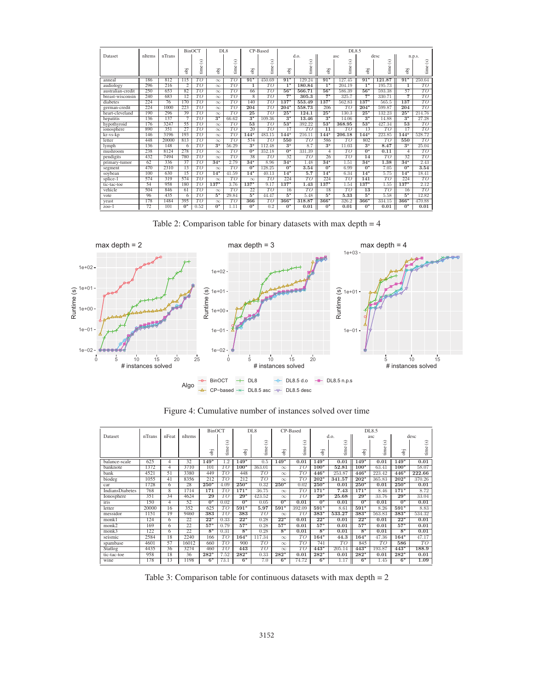|                   |        |        |                | <b>BinOCT</b>           | DL <sub>8</sub>  |                 | CP-Based         |                   | DL8.5            |                 |                  |                 |                  |                   |                  |                 |
|-------------------|--------|--------|----------------|-------------------------|------------------|-----------------|------------------|-------------------|------------------|-----------------|------------------|-----------------|------------------|-------------------|------------------|-----------------|
| Dataset           | nItems | nTrans |                |                         |                  |                 |                  |                   |                  | d.o.            |                  | asc             | desc             |                   | n.p.s.           |                 |
|                   |        |        |                | $\widehat{\mathscr{E}}$ |                  | $\circledcirc$  |                  | $\odot$           |                  | ٨               |                  | $\widehat{s}$   |                  | $\circledcirc$    |                  | ⊛               |
|                   |        |        | ë              | time                    | ö                | time            | Έ                | time              | Ъj               | time            | ë                | time            | Ρij              | time              | ö                | time            |
|                   |        |        |                |                         |                  |                 |                  |                   |                  |                 |                  |                 |                  |                   |                  |                 |
| anneal            | 186    | 812    | 115            | $\overline{TO}$         | $\infty$         | TO              | $91*$            | 450.69            | $91*$            | 129.24          | $91*$            | 127.45          | $91*$            | 121.87            | $91*$            | 250.64          |
| audiology         | 296    | 216    | $\overline{2}$ | TO                      | $\infty$         | TO              | 1                | TO                | $\overline{1^*}$ | 180.84          | $\overline{1^*}$ | 204.19          | $\overline{1^*}$ | 195.73            | 1                | T O             |
| australian-credit | 250    | 653    | 82             | $\overline{\tau}$       | $\infty$         | TO              | 66               | $\overline{\tau}$ | $56*$            | 566.71          | $56*$            | 586.39          | $56*$            | 593.38            | 57               | TO              |
| breast-wisconsin  | 240    | 683    | 12             | TO                      | $\infty$         | TО              | $\overline{8}$   | TO                | $7*$             | 305.3           | $7*$             | 325.7           | $7*$             | 330.71            | 7                | TO              |
| diabetes          | 224    | 76     | 170            | TO                      | $\infty$         | TO              | 140              | $\overline{\tau}$ | $137*$           | 553.49          | $137*$           | 562.83          | $137*$           | 565.5             | 137              | TO              |
| german-credit     | 224    | 1000   | 223            | $\overline{TO}$         | $\infty$         | TO              | 204              | $\overline{TO}$   | $204*$           | 558.73          | 206              | $\overline{TO}$ | $204*$           | 599.87            | 204              | $\overline{TO}$ |
| heart-cleveland   | 190    | 296    | 39             | $\overline{TO}$         | $\infty$         | $\overline{TO}$ | 25               | $\overline{TO}$   | $25*$            | 124.1           | $25*$            | 130.3           | $25*$            | 132.23            | $25*$            | 214.76          |
| hepatitis         | 136    | 137    |                | $\overline{TO}$         | $3*$             | 66.62           | $3*$             | 109.36            | $3^*$            | 13.46           | $3*$             | 14.06           | $3^*$            | 14.88             | $\overline{3^*}$ | 27.28           |
| hypothyroid       | 176    | 3247   | 55             | TO                      | $\infty$         | TO              | 53               | TO                | $53*$            | 392.22          | $53*$            | 368.95          | $53*$            | 427.34            | 53               | T O             |
| ionosphere        | 890    | 351    | 27             | TO                      | $\infty$         | TO              | 20               | TO                | 17               | TО              | $\overline{11}$  | TO              | 13               | TO                | 17               | TO              |
| kr-vs-kp          | 146    | 3196   | 193            | TO                      | $\infty$         | TO              | $144*$           | 483.15            | $144*$           | 216.11          | $144*$           | 206.18          | $144*$           | 223.85            | $144*$           | 528.72          |
| letter            | 448    | 20000  | 813            | TO                      | $\infty$         | TO              | 574              | $\overline{TO}$   | 550              | TO              | 586              | TO              | 802              | $\overline{\tau}$ | 550              | TO              |
| lymph             | 136    | 148    | 6              | $\overline{TO}$         | $\overline{3^*}$ | 56.29           | $\overline{3^*}$ | 112.48            | $\overline{3^*}$ | 8.7             | $\overline{3^*}$ | 11.03           | $\overline{3^*}$ | 8.47              | $\overline{3^*}$ | 25.04           |
| mushroom          | 238    | 8124   | 278            | $\overline{TO}$         | $\infty$         | $\overline{TO}$ | $\overline{0}^*$ | 352.18            | $\overline{0^*}$ | 331.39          | $\overline{4}$   | $\overline{TO}$ | $\overline{0^*}$ | 0.11              | 4                | $\overline{TO}$ |
| pendigits         | 432    | 7494   | 780            | $\overline{TO}$         | $\infty$         | TO              | 38               | $\overline{TO}$   | 32               | $\overline{TO}$ | 26               | $\overline{TO}$ | 14               | $\overline{TO}$   | 32               | $\overline{TO}$ |
| primary-tumor     | 62     | 336    | 37             | TO                      | $34*$            | 2.79            | $34*$            | 8.96              | $34*$            | 1.48            | $34*$            | 1.51            | $34*$            | 1.38              | $34*$            | 2.43            |
| segment           | 470    | 2310   | 13             | TO                      | $\infty$         | TO              | $0*$             | 128.25            | $0*$             | 3.54            | $0*$             | 6.99            | $0*$             | 7.05              | $0*$             | 3.54            |
| soybean           | 100    | 630    | 15             | TO                      | $14*$            | 41.59           | $14*$            | 40.13             | $14*$            | 5.7             | $14*$            | 6.34            | $14*$            | 5.75              | $14*$            | 18.41           |
| splice-1          | 574    | 319    | 574            | $\overline{TO}$         | $\infty$         | TO              | $\infty$         | TO                | 224              | TO              | 224              | TO              | 141              | TO                | 224              | TO              |
| tic-tac-toe       | 54     | 958    | 180            | $\overline{TO}$         | $137*$           | 3.76            | $137*$           | 9.17              | $137*$           | 1.43            | $137*$           | 1.54            | $137*$           | 1.55              | $137*$           | 2.12            |
| vehicle           | 504    | 846    | 61             | $\overline{TO}$         | $\infty$         | $\overline{TO}$ | 22               | $\overline{TO}$   | 16               | $\overline{TO}$ | 18               | $\overline{TO}$ | 13               | TO                | 16               | $\overline{TO}$ |
| vote              | 96     | 435    | 6              | $\overline{TO}$         | $5*$             | 29.84           | $5*$             | 44.47             | $5*$             | 5.48            | $5*$             | 5.33            | $5*$             | 5.58              | $5*$             | 12.82           |
| yeast             | 178    | 1484   | 395            | $\overline{\tau}$ o     | $\infty$         | TO              | 366              | TO                | $366*$           | 318.87          | $366*$           | 326.2           | $366*$           | 334.15            | $366*$           | 470.88          |
| $200-1$           | 72     | 101    | $0*$           | 0.52                    | $0*$             | 1.11            | $0^*$            | 0.2               | $0*$             | 0.01            | $0*$             | 0.01            | $0*$             | 0.01              | $0*$             | 0.01            |

Table 2: Comparison table for binary datasets with max depth = 4



|                        | nTrans |                 | nItems | <b>BinOCT</b> |                 | DL <sub>8</sub>  |                 |          | CP-Based        | DL8.5  |        |        |                |        |                |  |
|------------------------|--------|-----------------|--------|---------------|-----------------|------------------|-----------------|----------|-----------------|--------|--------|--------|----------------|--------|----------------|--|
| Dataset                |        | nFeat           |        |               |                 |                  |                 |          |                 |        | d.o.   | asc    |                | desc   |                |  |
|                        |        |                 |        |               | $\circledcirc$  |                  | $\widehat{s}$   |          | $\circledcirc$  |        | ⊛      |        | $\circledcirc$ |        | $\circledcirc$ |  |
|                        |        |                 |        |               |                 |                  | ime             |          |                 |        | ime    |        |                |        |                |  |
|                        |        |                 |        | Ъij           | time            | Άij              |                 | Ρij      | time            | ē      |        | aj     | time           | ē      | time           |  |
| balance-scale          | 625    | 4               | 32     | $149*$        | 1.2             | $149*$           | 0.5             | $149*$   | 0.01            | $149*$ | 0.01   | $149*$ | 0.01           | $149*$ | 0.01           |  |
| banknote               | 1372   | 4               | 3710   | 101           | TO              | $100*$           | 363.01          | $\infty$ | TO <sup>T</sup> | $100*$ | 52.81  | $100*$ | 63.41          | $100*$ | 58.07          |  |
| bank                   | 4521   | 51              | 3380   | 449           | TO <sup>T</sup> | 448              | T <sub>O</sub>  | $\infty$ | TO              | $446*$ | 253.87 | $446*$ | 223.42         | $446*$ | 222.66         |  |
| biodeg                 | 1055   | $\overline{41}$ | 8356   | 212           | TO              | 212              | TO              | $\infty$ | TO              | $202*$ | 341.57 | $202*$ | 365.83         | $202*$ | 370.26         |  |
| car                    | 1728   | 6               | 28     | $250*$        | 4.09            | $250*$           | 0.32            | $250*$   | 0.02            | $250*$ | 0.01   | $250*$ | 0.01           | $250*$ | 0.01           |  |
| <b>IndiansDiabetes</b> | 768    | $\overline{8}$  | 1714   | 171           | TO              | $171*$           | 36.75           | $\infty$ | TO              | $171*$ | 7.43   | $171*$ | 8.46           | $171*$ | 8.72           |  |
| Ionosphere             | 351    | 34              | 4624   | 29            | TO <sup>T</sup> | $29*$            | 423.52          | $\infty$ | TO              | $29*$  | 25.68  | $29*$  | 33.76          | $29*$  | 33.04          |  |
| iris                   | 150    | $\overline{4}$  | 52     | $0^*$         | 0.02            | $\overline{0}^*$ | 0.05            | $0^*$    | 0.01            | $0^*$  | 0.01   | $0^*$  | 0.01           | $0^*$  | 0.01           |  |
| letter                 | 20000  | 16              | 352    | 625           | TO              | $591*$           | 5.97            | $591*$   | 392.09          | $591*$ | 8.61   | $591*$ | 8.26           | $591*$ | 8.83           |  |
| messidor               | 1151   | 19              | 9460   | 383           | $\overline{TO}$ | 383              | $\overline{TO}$ | $\infty$ | $\overline{TO}$ | $383*$ | 533.27 | $383*$ | 563.83         | $383*$ | 534.32         |  |
| $m$ onk $1$            | 124    | 6               | 22     | $22*$         | 0.33            | $22*$            | 0.28            | $22*$    | 0.01            | $22*$  | 0.01   | $22*$  | 0.01           | $22*$  | 0.01           |  |
| monk2                  | 169    | 6               | 22     | $57*$         | 0.79            | $57*$            | 0.28            | $57*$    | 0.01            | $57*$  | 0.01   | $57*$  | 0.01           | $57*$  | 0.01           |  |
| $m$ onk $3$            | 122    | 6               | 22     | $8*$          | 0.31            | $8*$             | 0.28            | $8*$     | 0.01            | $8*$   | 0.01   | $8*$   | 0.01           | $8*$   | 0.01           |  |
| seismic                | 2584   | $\overline{18}$ | 2240   | 166           | TO              | $164*$           | 117.34          | $\infty$ | TO              | $164*$ | 44.3   | $164*$ | 47.36          | $164*$ | 47.17          |  |
| spambase               | 4601   | 57              | 16012  | 660           | TO              | 900              | TO              | $\infty$ | TO              | 741    | TO     | 845    | TO             | 586    | TO             |  |
| Statlog                | 4435   | 36              | 3274   | 460           | TO <sup>T</sup> | 443              | $\overline{TO}$ | $\infty$ | TO              | $443*$ | 205.14 | $443*$ | 193.87         | $443*$ | 188.9          |  |
| tic-tac-toe            | 958    | 18              | 36     | $282*$        | 7.52            | $282*$           | 0.33            | $282*$   | 0.01            | $282*$ | 0.01   | $282*$ | 0.01           | $282*$ | 0.01           |  |
| wine                   | 178    | 13              | 1198   | $6*$          | 73.1            | $6*$             | 7.0             | $6*$     | 74.72           | $6*$   | 1.17   | $6*$   | 1.45           | $6*$   | 1.09           |  |

Figure 4: Cumulative number of instances solved over time

Table 3: Comparison table for continuous datasets with max depth = 2